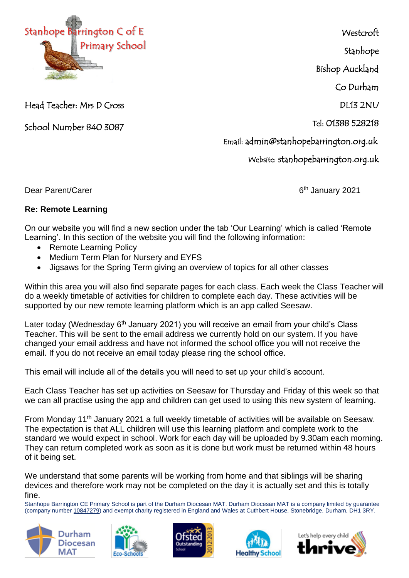

**Westcroft** 

Stanhope

Bishop Auckland

Co Durham

DL13 2NU

Tel: 01388 528218

Email: admin@stanhopebarrington.org.uk

Website: stanhopebarrington.org.uk

Head Teacher: Mrs D Cross

School Number 840 3087

Dear Parent/Carer

6<sup>th</sup> January 2021

## **Re: Remote Learning**

On our website you will find a new section under the tab 'Our Learning' which is called 'Remote Learning'. In this section of the website you will find the following information:

- Remote Learning Policy
- Medium Term Plan for Nursery and EYFS
- Jigsaws for the Spring Term giving an overview of topics for all other classes

Within this area you will also find separate pages for each class. Each week the Class Teacher will do a weekly timetable of activities for children to complete each day. These activities will be supported by our new remote learning platform which is an app called Seesaw.

Later today (Wednesday  $6<sup>th</sup>$  January 2021) you will receive an email from your child's Class Teacher. This will be sent to the email address we currently hold on our system. If you have changed your email address and have not informed the school office you will not receive the email. If you do not receive an email today please ring the school office.

This email will include all of the details you will need to set up your child's account.

Each Class Teacher has set up activities on Seesaw for Thursday and Friday of this week so that we can all practise using the app and children can get used to using this new system of learning.

From Monday 11th January 2021 a full weekly timetable of activities will be available on Seesaw. The expectation is that ALL children will use this learning platform and complete work to the standard we would expect in school. Work for each day will be uploaded by 9.30am each morning. They can return completed work as soon as it is done but work must be returned within 48 hours of it being set.

We understand that some parents will be working from home and that siblings will be sharing devices and therefore work may not be completed on the day it is actually set and this is totally fine.

Stanhope Barrington CE Primary School is part of the Durham Diocesan MAT. Durham Diocesan MAT is a company limited by guarantee (company number [10847279\)](tel:10847279) and exempt charity registered in England and Wales at Cuthbert House, Stonebridge, Durham, DH1 3RY.